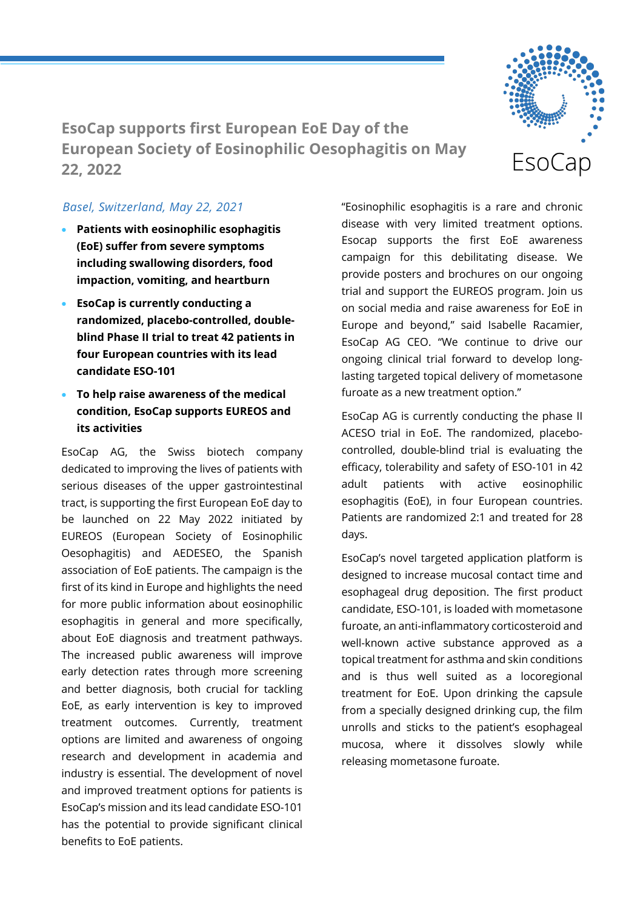

**EsoCap supports first European EoE Day of the European Society of Eosinophilic Oesophagitis on May 22, 2022**

## *Basel, Switzerland, May 22, 2021*

- **Patients with eosinophilic esophagitis (EoE) suffer from severe symptoms including swallowing disorders, food impaction, vomiting, and heartburn**
- **EsoCap is currently conducting a randomized, placebo-controlled, doubleblind Phase II trial to treat 42 patients in four European countries with its lead candidate ESO-101**
- **To help raise awareness of the medical condition, EsoCap supports EUREOS and its activities**

EsoCap AG, the Swiss biotech company dedicated to improving the lives of patients with serious diseases of the upper gastrointestinal tract, is supporting the first European EoE day to be launched on 22 May 2022 initiated by EUREOS (European Society of Eosinophilic Oesophagitis) and AEDESEO, the Spanish association of EoE patients. The campaign is the first of its kind in Europe and highlights the need for more public information about eosinophilic esophagitis in general and more specifically, about EoE diagnosis and treatment pathways. The increased public awareness will improve early detection rates through more screening and better diagnosis, both crucial for tackling EoE, as early intervention is key to improved treatment outcomes. Currently, treatment options are limited and awareness of ongoing research and development in academia and industry is essential. The development of novel and improved treatment options for patients is EsoCap's mission and its lead candidate ESO-101 has the potential to provide significant clinical benefits to EoE patients.

"Eosinophilic esophagitis is a rare and chronic disease with very limited treatment options. Esocap supports the first EoE awareness campaign for this debilitating disease. We provide posters and brochures on our ongoing trial and support the EUREOS program. Join us on social media and raise awareness for EoE in Europe and beyond," said Isabelle Racamier, EsoCap AG CEO. "We continue to drive our ongoing clinical trial forward to develop longlasting targeted topical delivery of mometasone furoate as a new treatment option."

EsoCap AG is currently conducting the phase II ACESO trial in EoE. The randomized, placebocontrolled, double-blind trial is evaluating the efficacy, tolerability and safety of ESO-101 in 42 adult patients with active eosinophilic esophagitis (EoE), in four European countries. Patients are randomized 2:1 and treated for 28 days.

EsoCap's novel targeted application platform is designed to increase mucosal contact time and esophageal drug deposition. The first product candidate, ESO-101, is loaded with mometasone furoate, an anti-inflammatory corticosteroid and well-known active substance approved as a topical treatment for asthma and skin conditions and is thus well suited as a locoregional treatment for EoE. Upon drinking the capsule from a specially designed drinking cup, the film unrolls and sticks to the patient's esophageal mucosa, where it dissolves slowly while releasing mometasone furoate.